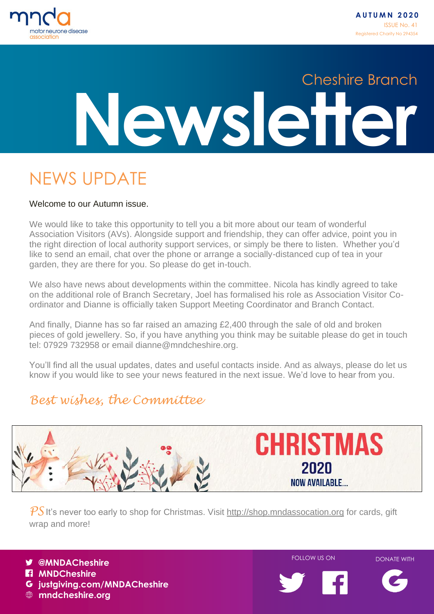

# **Newsletter** Cheshire Branch

### NEWS UPDATE

### Welcome to our Autumn issue.

We would like to take this opportunity to tell you a bit more about our team of wonderful Association Visitors (AVs). Alongside support and friendship, they can offer advice, point you in the right direction of local authority support services, or simply be there to listen. Whether you'd like to send an email, chat over the phone or arrange a socially-distanced cup of tea in your garden, they are there for you. So please do get in-touch.

We also have news about developments within the committee. Nicola has kindly agreed to take on the additional role of Branch Secretary, Joel has formalised his role as Association Visitor Coordinator and Dianne is officially taken Support Meeting Coordinator and Branch Contact.

And finally, Dianne has so far raised an amazing £2,400 through the sale of old and broken pieces of gold jewellery. So, if you have anything you think may be suitable please do get in touch tel: 07929 732958 or email dianne@mndcheshire.org.

You'll find all the usual updates, dates and useful contacts inside. And as always, please do let us know if you would like to see your news featured in the next issue. We'd love to hear from you.

### *Best wishes, the Committee*



PS It's never too early to shop for Christmas. Visit [http://shop.mndassocation.org](http://shop.mndassocation.org/) for cards, gift wrap and more!



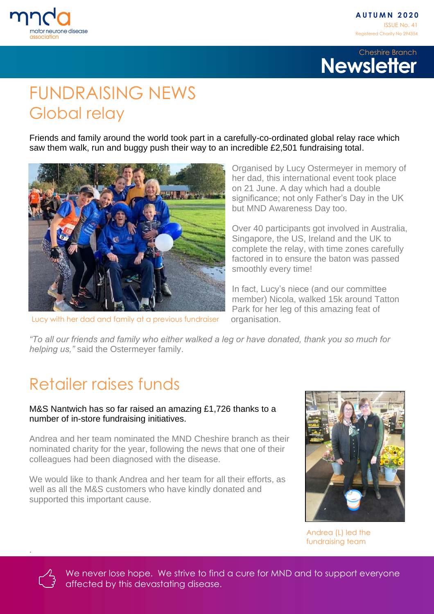



### FUNDRAISING NEWS Global relay

Friends and family around the world took part in a carefully-co-ordinated global relay race which saw them walk, run and buggy push their way to an incredible £2,501 fundraising total.



Lucy with her dad and family at a previous fundraiser

Organised by Lucy Ostermeyer in memory of her dad, this international event took place on 21 June. A day which had a double significance; not only Father's Day in the UK but MND Awareness Day too.

Over 40 participants got involved in Australia, Singapore, the US, Ireland and the UK to complete the relay, with time zones carefully factored in to ensure the baton was passed smoothly every time!

In fact, Lucy's niece (and our committee member) Nicola, walked 15k around Tatton Park for her leg of this amazing feat of organisation.

*"To all our friends and family who either walked a leg or have donated, thank you so much for helping us,"* said the Ostermeyer family.

### Retailer raises funds

### M&S Nantwich has so far raised an amazing £1,726 thanks to a number of in-store fundraising initiatives.

Andrea and her team nominated the MND Cheshire branch as their nominated charity for the year, following the news that one of their colleagues had been diagnosed with the disease.

We would like to thank Andrea and her team for all their efforts, as well as all the M&S customers who have kindly donated and supported this important cause.



Andrea (L) led the fundraising team



.

We never lose hope. We strive to find a cure for MND and to support everyone affected by this devastating disease.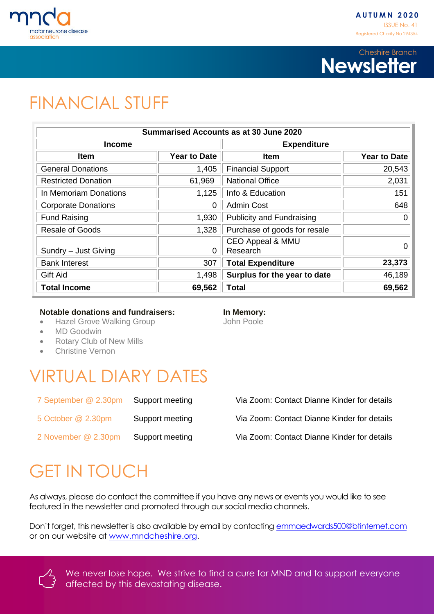



### FINANCIAL STUFF

|                            |                     | <b>Summarised Accounts as at 30 June 2020</b> |                     |
|----------------------------|---------------------|-----------------------------------------------|---------------------|
| Income                     |                     | <b>Expenditure</b>                            |                     |
| <b>Item</b>                | <b>Year to Date</b> | <b>Item</b>                                   | <b>Year to Date</b> |
| <b>General Donations</b>   | 1,405               | <b>Financial Support</b>                      | 20,543              |
| <b>Restricted Donation</b> | 61,969              | <b>National Office</b>                        | 2,031               |
| In Memoriam Donations      | 1,125               | Info & Education                              | 151                 |
| <b>Corporate Donations</b> | 0                   | <b>Admin Cost</b>                             | 648                 |
| <b>Fund Raising</b>        | 1,930               | <b>Publicity and Fundraising</b>              | 0                   |
| Resale of Goods            | 1,328               | Purchase of goods for resale                  |                     |
| Sundry - Just Giving       | 0                   | <b>CEO Appeal &amp; MMU</b><br>Research       | $\Omega$            |
| <b>Bank Interest</b>       | 307                 | <b>Total Expenditure</b>                      | 23,373              |
| <b>Gift Aid</b>            | 1,498               | Surplus for the year to date                  | 46,189              |
| <b>Total Income</b>        | 69,562              | Total                                         | 69,562              |

### **Notable donations and fundraisers: In Memory:**

- Hazel Grove Walking Group The Subset of John Poole
- MD Goodwin
- Rotary Club of New Mills
- Christine Vernon

### VIRTUAL DIARY DATES

| 7 September @ 2.30pm | Support meeting |
|----------------------|-----------------|
| 5 October @ 2.30pm   | Support meeting |
| 2 November @ 2.30pm  | Support meeting |

Via Zoom: Contact Dianne Kinder for details

Via Zoom: Contact Dianne Kinder for details

Via Zoom: Contact Dianne Kinder for details

## GET IN TOUCH

As always, please do contact the committee if you have any news or events you would like to see featured in the newsletter and promoted through our social media channels.

Don't forget, this newsletter is also available by email by contacting [emmaedwards500@btinternet.com](mailto:emmaedwards500@btinternet.com) or on our website at [www.mndcheshire.org.](http://www.mndcheshire.org/)